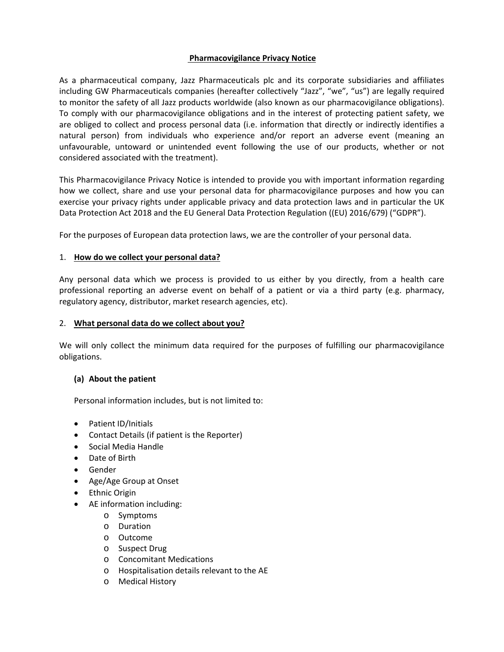### **Pharmacovigilance Privacy Notice**

As a pharmaceutical company, Jazz Pharmaceuticals plc and its corporate subsidiaries and affiliates including GW Pharmaceuticals companies (hereafter collectively "Jazz", "we", "us") are legally required to monitor the safety of all Jazz products worldwide (also known as our pharmacovigilance obligations). To comply with our pharmacovigilance obligations and in the interest of protecting patient safety, we are obliged to collect and process personal data (i.e. information that directly or indirectly identifies a natural person) from individuals who experience and/or report an adverse event (meaning an unfavourable, untoward or unintended event following the use of our products, whether or not considered associated with the treatment).

This Pharmacovigilance Privacy Notice is intended to provide you with important information regarding how we collect, share and use your personal data for pharmacovigilance purposes and how you can exercise your privacy rights under applicable privacy and data protection laws and in particular the UK Data Protection Act 2018 and the EU General Data Protection Regulation ((EU) 2016/679) ("GDPR").

For the purposes of European data protection laws, we are the controller of your personal data.

# 1. **How do we collect your personal data?**

Any personal data which we process is provided to us either by you directly, from a health care professional reporting an adverse event on behalf of a patient or via a third party (e.g. pharmacy, regulatory agency, distributor, market research agencies, etc).

### 2. **What personal data do we collect about you?**

We will only collect the minimum data required for the purposes of fulfilling our pharmacovigilance obligations.

### **(a) About the patient**

Personal information includes, but is not limited to:

- Patient ID/Initials
- Contact Details (if patient is the Reporter)
- Social Media Handle
- Date of Birth
- Gender
- Age/Age Group at Onset
- Ethnic Origin
- AE information including:
	- o Symptoms
	- o Duration
	- o Outcome
	- o Suspect Drug
	- o Concomitant Medications
	- o Hospitalisation details relevant to the AE
	- o Medical History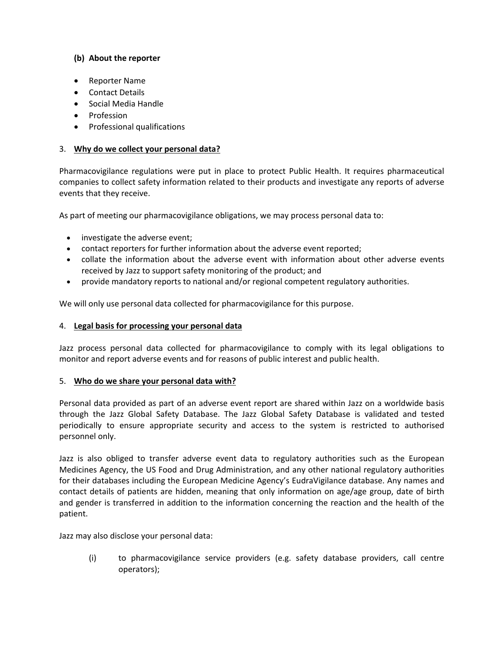# **(b) About the reporter**

- Reporter Name
- Contact Details
- Social Media Handle
- Profession
- Professional qualifications

### 3. **Why do we collect your personal data?**

Pharmacovigilance regulations were put in place to protect Public Health. It requires pharmaceutical companies to collect safety information related to their products and investigate any reports of adverse events that they receive.

As part of meeting our pharmacovigilance obligations, we may process personal data to:

- investigate the adverse event;
- contact reporters for further information about the adverse event reported;
- collate the information about the adverse event with information about other adverse events received by Jazz to support safety monitoring of the product; and
- provide mandatory reports to national and/or regional competent regulatory authorities.

We will only use personal data collected for pharmacovigilance for this purpose.

### 4. **Legal basis for processing your personal data**

Jazz process personal data collected for pharmacovigilance to comply with its legal obligations to monitor and report adverse events and for reasons of public interest and public health.

### 5. **Who do we share your personal data with?**

Personal data provided as part of an adverse event report are shared within Jazz on a worldwide basis through the Jazz Global Safety Database. The Jazz Global Safety Database is validated and tested periodically to ensure appropriate security and access to the system is restricted to authorised personnel only.

Jazz is also obliged to transfer adverse event data to regulatory authorities such as the European Medicines Agency, the US Food and Drug Administration, and any other national regulatory authorities for their databases including the European Medicine Agency's EudraVigilance database. Any names and contact details of patients are hidden, meaning that only information on age/age group, date of birth and gender is transferred in addition to the information concerning the reaction and the health of the patient.

Jazz may also disclose your personal data:

(i) to pharmacovigilance service providers (e.g. safety database providers, call centre operators);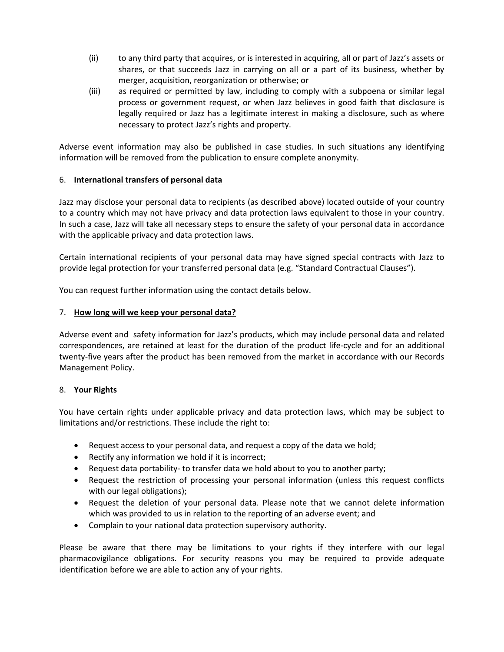- (ii) to any third party that acquires, or is interested in acquiring, all or part of Jazz's assets or shares, or that succeeds Jazz in carrying on all or a part of its business, whether by merger, acquisition, reorganization or otherwise; or
- (iii) as required or permitted by law, including to comply with a subpoena or similar legal process or government request, or when Jazz believes in good faith that disclosure is legally required or Jazz has a legitimate interest in making a disclosure, such as where necessary to protect Jazz's rights and property.

Adverse event information may also be published in case studies. In such situations any identifying information will be removed from the publication to ensure complete anonymity.

# 6. **International transfers of personal data**

Jazz may disclose your personal data to recipients (as described above) located outside of your country to a country which may not have privacy and data protection laws equivalent to those in your country. In such a case, Jazz will take all necessary steps to ensure the safety of your personal data in accordance with the applicable privacy and data protection laws.

Certain international recipients of your personal data may have signed special contracts with Jazz to provide legal protection for your transferred personal data (e.g. "Standard Contractual Clauses").

You can request further information using the contact details below.

# 7. **How long will we keep your personal data?**

Adverse event and safety information for Jazz's products, which may include personal data and related correspondences, are retained at least for the duration of the product life-cycle and for an additional twenty-five years after the product has been removed from the market in accordance with our Records Management Policy.

### 8. **Your Rights**

You have certain rights under applicable privacy and data protection laws, which may be subject to limitations and/or restrictions. These include the right to:

- Request access to your personal data, and request a copy of the data we hold;
- Rectify any information we hold if it is incorrect;
- Request data portability- to transfer data we hold about to you to another party;
- Request the restriction of processing your personal information (unless this request conflicts with our legal obligations);
- Request the deletion of your personal data. Please note that we cannot delete information which was provided to us in relation to the reporting of an adverse event; and
- Complain to your national data protection supervisory authority.

Please be aware that there may be limitations to your rights if they interfere with our legal pharmacovigilance obligations. For security reasons you may be required to provide adequate identification before we are able to action any of your rights.